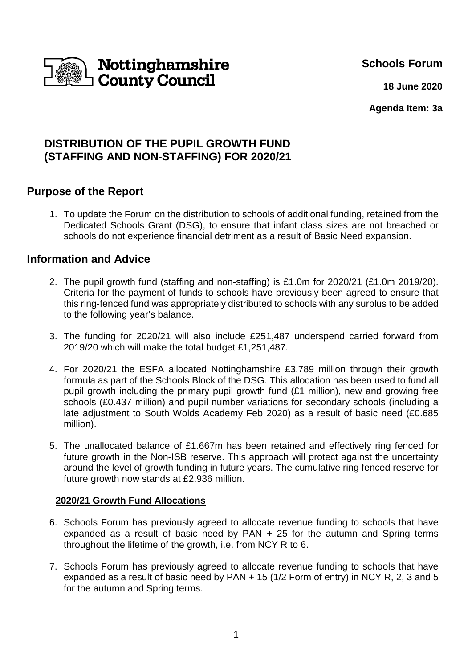

**Schools Forum**

 **18 June 2020**

**Agenda Item: 3a** 

# **DISTRIBUTION OF THE PUPIL GROWTH FUND (STAFFING AND NON-STAFFING) FOR 2020/21**

# **Purpose of the Report**

1. To update the Forum on the distribution to schools of additional funding, retained from the Dedicated Schools Grant (DSG), to ensure that infant class sizes are not breached or schools do not experience financial detriment as a result of Basic Need expansion.

# **Information and Advice**

- 2. The pupil growth fund (staffing and non-staffing) is £1.0m for 2020/21 (£1.0m 2019/20). Criteria for the payment of funds to schools have previously been agreed to ensure that this ring-fenced fund was appropriately distributed to schools with any surplus to be added to the following year's balance.
- 3. The funding for 2020/21 will also include £251,487 underspend carried forward from 2019/20 which will make the total budget £1,251,487.
- 4. For 2020/21 the ESFA allocated Nottinghamshire £3.789 million through their growth formula as part of the Schools Block of the DSG. This allocation has been used to fund all pupil growth including the primary pupil growth fund (£1 million), new and growing free schools (£0.437 million) and pupil number variations for secondary schools (including a late adjustment to South Wolds Academy Feb 2020) as a result of basic need (£0.685 million).
- 5. The unallocated balance of £1.667m has been retained and effectively ring fenced for future growth in the Non-ISB reserve. This approach will protect against the uncertainty around the level of growth funding in future years. The cumulative ring fenced reserve for future growth now stands at £2.936 million.

### **2020/21 Growth Fund Allocations**

- 6. Schools Forum has previously agreed to allocate revenue funding to schools that have expanded as a result of basic need by PAN + 25 for the autumn and Spring terms throughout the lifetime of the growth, i.e. from NCY R to 6.
- 7. Schools Forum has previously agreed to allocate revenue funding to schools that have expanded as a result of basic need by PAN + 15 (1/2 Form of entry) in NCY R, 2, 3 and 5 for the autumn and Spring terms.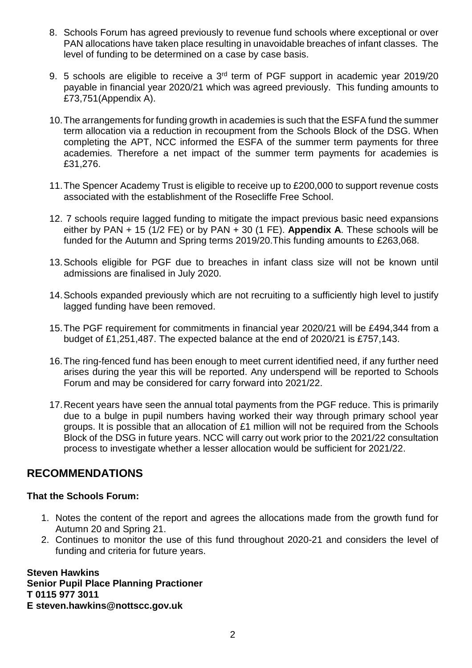- 8. Schools Forum has agreed previously to revenue fund schools where exceptional or over PAN allocations have taken place resulting in unavoidable breaches of infant classes. The level of funding to be determined on a case by case basis.
- 9. 5 schools are eligible to receive a 3<sup>rd</sup> term of PGF support in academic year 2019/20 payable in financial year 2020/21 which was agreed previously. This funding amounts to £73,751(Appendix A).
- 10. The arrangements for funding growth in academies is such that the ESFA fund the summer term allocation via a reduction in recoupment from the Schools Block of the DSG. When completing the APT, NCC informed the ESFA of the summer term payments for three academies. Therefore a net impact of the summer term payments for academies is £31,276.
- 11. The Spencer Academy Trust is eligible to receive up to £200,000 to support revenue costs associated with the establishment of the Rosecliffe Free School.
- 12. 7 schools require lagged funding to mitigate the impact previous basic need expansions either by PAN + 15 (1/2 FE) or by PAN + 30 (1 FE). **Appendix A**. These schools will be funded for the Autumn and Spring terms 2019/20.This funding amounts to £263,068.
- 13. Schools eligible for PGF due to breaches in infant class size will not be known until admissions are finalised in July 2020.
- 14. Schools expanded previously which are not recruiting to a sufficiently high level to justify lagged funding have been removed.
- 15. The PGF requirement for commitments in financial year 2020/21 will be £494,344 from a budget of £1,251,487. The expected balance at the end of 2020/21 is £757,143.
- 16. The ring-fenced fund has been enough to meet current identified need, if any further need arises during the year this will be reported. Any underspend will be reported to Schools Forum and may be considered for carry forward into 2021/22.
- 17. Recent years have seen the annual total payments from the PGF reduce. This is primarily due to a bulge in pupil numbers having worked their way through primary school year groups. It is possible that an allocation of £1 million will not be required from the Schools Block of the DSG in future years. NCC will carry out work prior to the 2021/22 consultation process to investigate whether a lesser allocation would be sufficient for 2021/22.

# **RECOMMENDATIONS**

#### **That the Schools Forum:**

- 1. Notes the content of the report and agrees the allocations made from the growth fund for Autumn 20 and Spring 21.
- 2. Continues to monitor the use of this fund throughout 2020-21 and considers the level of funding and criteria for future years.

**Steven Hawkins Senior Pupil Place Planning Practioner T 0115 977 3011 E steven.hawkins@nottscc.gov.uk**